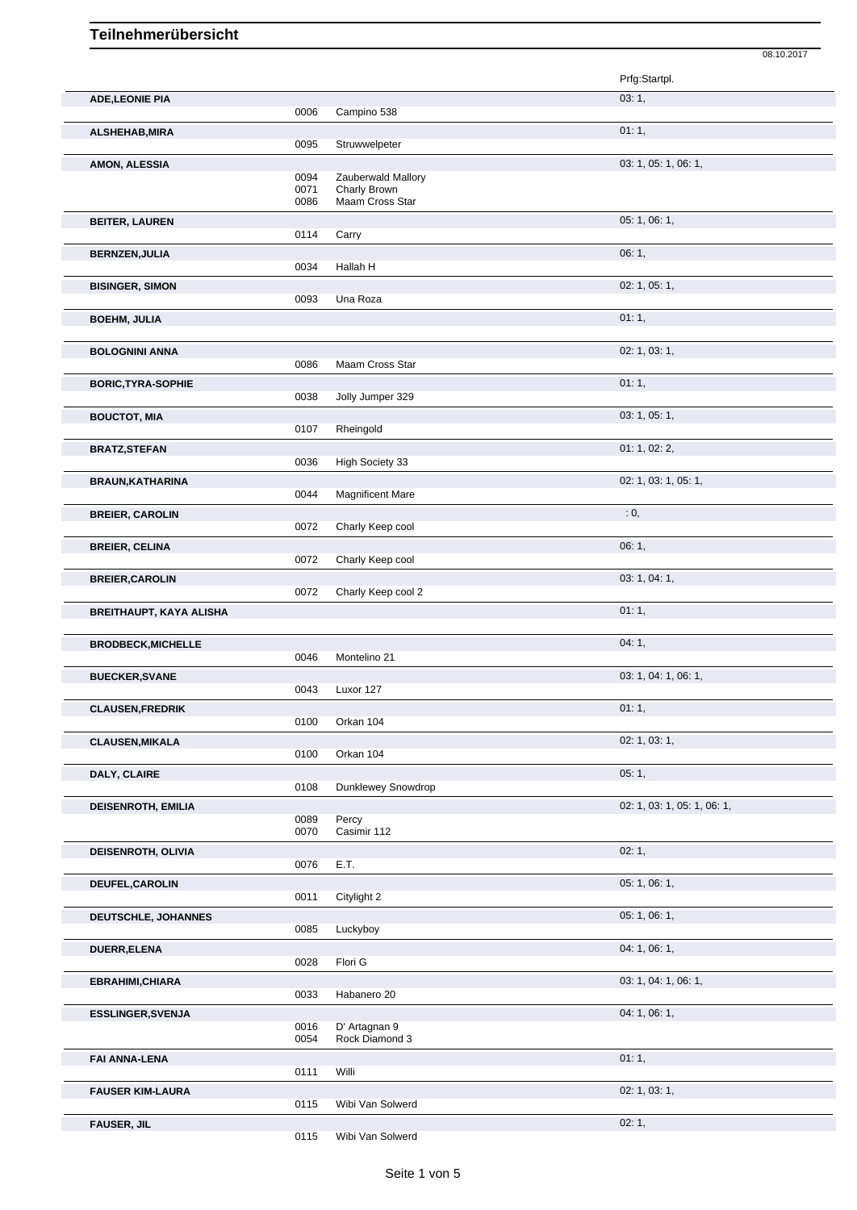|                                |              |                         | 08.10.2017                  |
|--------------------------------|--------------|-------------------------|-----------------------------|
|                                |              |                         | Prfg:Startpl.               |
| <b>ADE,LEONIE PIA</b>          |              |                         | 03:1,                       |
|                                | 0006         | Campino 538             |                             |
| ALSHEHAB, MIRA                 |              |                         | 01:1,                       |
|                                | 0095         | Struwwelpeter           |                             |
| AMON, ALESSIA                  | 0094         | Zauberwald Mallory      | 03: 1, 05: 1, 06: 1,        |
|                                | 0071         | Charly Brown            |                             |
|                                | 0086         | Maam Cross Star         |                             |
| <b>BEITER, LAUREN</b>          |              |                         | 05: 1, 06: 1,               |
|                                | 0114         | Carry                   |                             |
| <b>BERNZEN, JULIA</b>          |              |                         | 06:1,                       |
|                                | 0034         | Hallah H                |                             |
| <b>BISINGER, SIMON</b>         |              |                         | 02: 1, 05: 1,               |
|                                | 0093         | Una Roza                |                             |
| <b>BOEHM, JULIA</b>            |              |                         | 01:1,                       |
|                                |              |                         |                             |
| <b>BOLOGNINI ANNA</b>          | 0086         | Maam Cross Star         | 02: 1, 03: 1,               |
|                                |              |                         |                             |
| <b>BORIC, TYRA-SOPHIE</b>      | 0038         | Jolly Jumper 329        | 01:1,                       |
|                                |              |                         |                             |
| <b>BOUCTOT, MIA</b>            | 0107         | Rheingold               | 03: 1, 05: 1,               |
|                                |              |                         | 01: 1, 02: 2,               |
| <b>BRATZ, STEFAN</b>           | 0036         | High Society 33         |                             |
| <b>BRAUN, KATHARINA</b>        |              |                         | 02: 1, 03: 1, 05: 1,        |
|                                | 0044         | <b>Magnificent Mare</b> |                             |
| <b>BREIER, CAROLIN</b>         |              |                         | $\cdot$ 0,                  |
|                                | 0072         | Charly Keep cool        |                             |
| <b>BREIER, CELINA</b>          |              |                         | 06:1,                       |
|                                | 0072         | Charly Keep cool        |                             |
| <b>BREIER, CAROLIN</b>         |              |                         | 03: 1, 04: 1,               |
|                                | 0072         | Charly Keep cool 2      |                             |
| <b>BREITHAUPT, KAYA ALISHA</b> |              |                         | 01:1,                       |
|                                |              |                         |                             |
| <b>BRODBECK, MICHELLE</b>      |              |                         | 04:1,                       |
|                                | 0046         | Montelino 21            |                             |
| <b>BUECKER, SVANE</b>          |              |                         | 03: 1, 04: 1, 06: 1,        |
|                                | 0043         | Luxor 127               |                             |
| <b>CLAUSEN, FREDRIK</b>        |              |                         | 01:1,                       |
|                                | 0100         | Orkan 104               |                             |
| <b>CLAUSEN, MIKALA</b>         |              |                         | 02: 1, 03: 1,               |
|                                | 0100         | Orkan 104               |                             |
| DALY, CLAIRE                   |              |                         | 05:1,                       |
|                                | 0108         | Dunklewey Snowdrop      |                             |
| <b>DEISENROTH, EMILIA</b>      |              |                         | 02: 1, 03: 1, 05: 1, 06: 1, |
|                                | 0089<br>0070 | Percy<br>Casimir 112    |                             |
|                                |              |                         | 02:1,                       |
| DEISENROTH, OLIVIA             | 0076         | E.T.                    |                             |
| DEUFEL, CAROLIN                |              |                         | 05: 1, 06: 1,               |
|                                | 0011         | Citylight 2             |                             |
| <b>DEUTSCHLE, JOHANNES</b>     |              |                         | 05: 1, 06: 1,               |
|                                | 0085         | Luckyboy                |                             |
| DUERR, ELENA                   |              |                         | 04: 1, 06: 1,               |
|                                | 0028         | Flori G                 |                             |
| EBRAHIMI, CHIARA               |              |                         | 03: 1, 04: 1, 06: 1,        |
|                                | 0033         | Habanero 20             |                             |
| <b>ESSLINGER, SVENJA</b>       |              |                         | 04: 1, 06: 1,               |
|                                | 0016         | D' Artagnan 9           |                             |
|                                | 0054         | Rock Diamond 3          |                             |
| <b>FAI ANNA-LENA</b>           |              |                         | 01:1,                       |
|                                | 0111         | Willi                   |                             |
| <b>FAUSER KIM-LAURA</b>        |              |                         | 02: 1, 03: 1,               |
|                                | 0115         | Wibi Van Solwerd        |                             |
| <b>FAUSER, JIL</b>             | 0115         |                         | 02:1,                       |
|                                |              | Wibi Van Solwerd        |                             |

Seite 1 von 5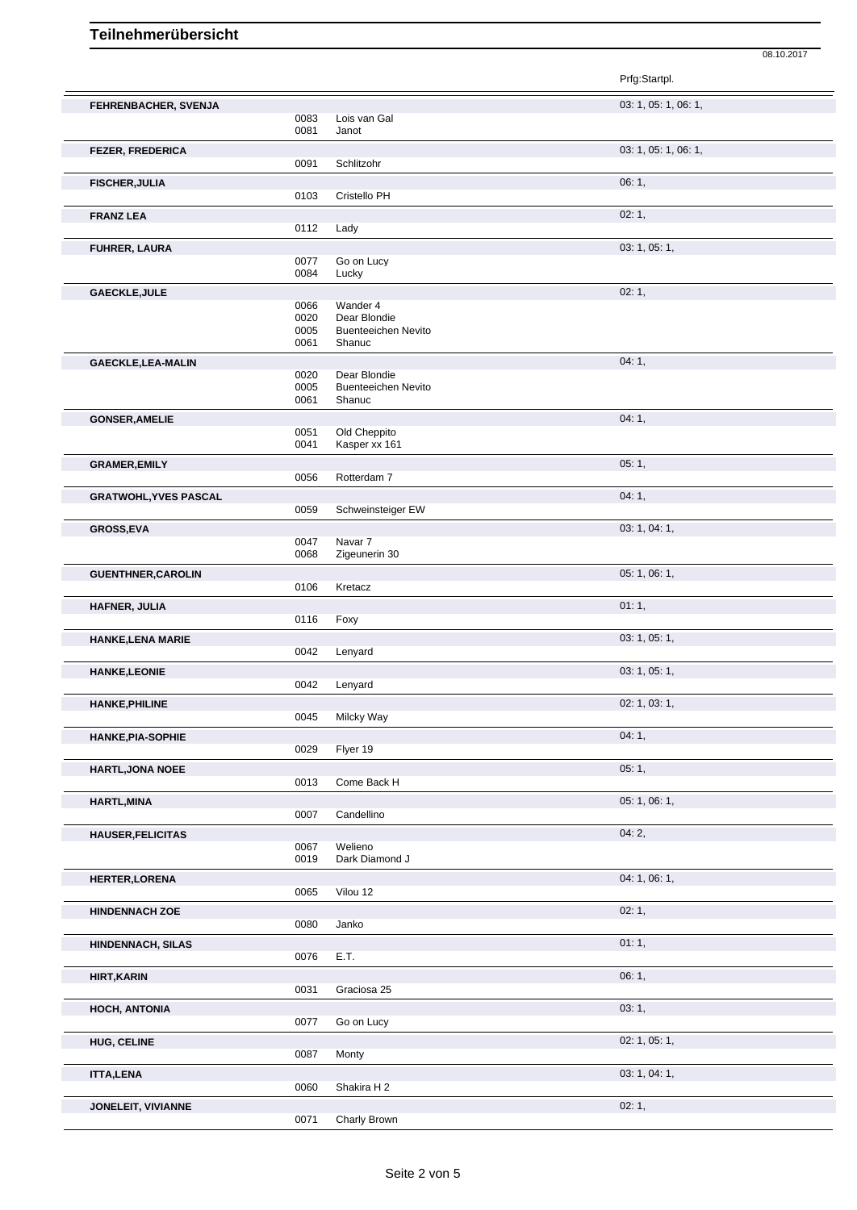08.10.2017

|                              |                      |                                                      | Prfg:Startpl.        |
|------------------------------|----------------------|------------------------------------------------------|----------------------|
| FEHRENBACHER, SVENJA         | 0083<br>0081         | Lois van Gal<br>Janot                                | 03: 1, 05: 1, 06: 1, |
| <b>FEZER, FREDERICA</b>      | 0091                 | Schlitzohr                                           | 03: 1, 05: 1, 06: 1, |
| <b>FISCHER, JULIA</b>        | 0103                 | Cristello PH                                         | 06:1,                |
| <b>FRANZ LEA</b>             | 0112                 | Lady                                                 | 02:1,                |
| FUHRER, LAURA                |                      |                                                      | 03: 1, 05: 1,        |
|                              | 0077<br>0084         | Go on Lucy<br>Lucky                                  |                      |
| <b>GAECKLE, JULE</b>         | 0066                 | Wander 4                                             | 02:1,                |
|                              | 0020<br>0005<br>0061 | Dear Blondie<br><b>Buenteeichen Nevito</b><br>Shanuc |                      |
| GAECKLE, LEA-MALIN           |                      | Dear Blondie                                         | 04:1,                |
|                              | 0020<br>0005<br>0061 | <b>Buenteeichen Nevito</b><br>Shanuc                 |                      |
| <b>GONSER, AMELIE</b>        |                      |                                                      | 04:1,                |
|                              | 0051<br>0041         | Old Cheppito<br>Kasper xx 161                        |                      |
| <b>GRAMER, EMILY</b>         | 0056                 | Rotterdam 7                                          | 05:1,                |
| <b>GRATWOHL, YVES PASCAL</b> |                      |                                                      | 04:1,                |
|                              | 0059                 | Schweinsteiger EW                                    |                      |
| GROSS, EVA                   | 0047<br>0068         | Navar 7<br>Zigeunerin 30                             | 03: 1, 04: 1,        |
| <b>GUENTHNER, CAROLIN</b>    | 0106                 | Kretacz                                              | 05: 1, 06: 1,        |
| HAFNER, JULIA                |                      |                                                      | 01:1,                |
|                              | 0116                 | Foxy                                                 | 03: 1, 05: 1,        |
| <b>HANKE, LENA MARIE</b>     | 0042                 | Lenyard                                              |                      |
| <b>HANKE, LEONIE</b>         | 0042                 | Lenyard                                              | 03: 1, 05: 1,        |
| <b>HANKE, PHILINE</b>        | 0045                 | Milcky Way                                           | 02: 1, 03: 1,        |
| <b>HANKE, PIA-SOPHIE</b>     | 0029                 | Flyer 19                                             | 04:1,                |
| <b>HARTL, JONA NOEE</b>      | 0013                 | Come Back H                                          | 05:1,                |
| <b>HARTL, MINA</b>           |                      |                                                      | 05: 1, 06: 1,        |
|                              | 0007                 | Candellino                                           |                      |
| <b>HAUSER, FELICITAS</b>     | 0067<br>0019         | Welieno<br>Dark Diamond J                            | 04:2,                |
| <b>HERTER, LORENA</b>        | 0065                 | Vilou 12                                             | 04: 1, 06: 1,        |
| <b>HINDENNACH ZOE</b>        | 0080                 | Janko                                                | 02:1,                |
| HINDENNACH, SILAS            | 0076                 | E.T.                                                 | 01:1,                |
| <b>HIRT, KARIN</b>           | 0031                 | Graciosa 25                                          | 06:1,                |
| HOCH, ANTONIA                | 0077                 | Go on Lucy                                           | 03:1,                |
| <b>HUG, CELINE</b>           | 0087                 | Monty                                                | 02: 1, 05: 1,        |
| <b>ITTA,LENA</b>             | 0060                 | Shakira H 2                                          | 03: 1, 04: 1,        |
| JONELEIT, VIVIANNE           | 0071                 | Charly Brown                                         | 02:1,                |
|                              |                      |                                                      |                      |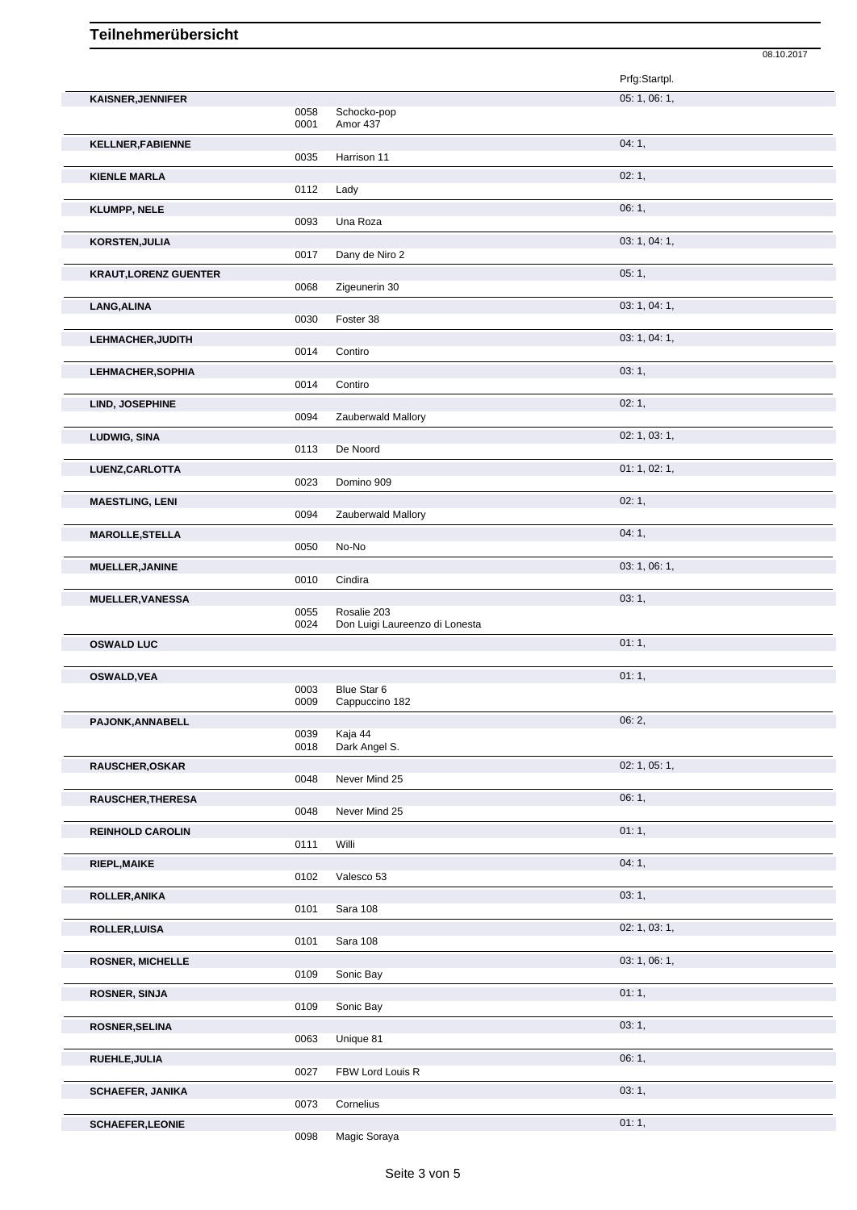|                              |      |                                | 08.10.2017    |  |
|------------------------------|------|--------------------------------|---------------|--|
|                              |      |                                | Prfg:Startpl. |  |
| <b>KAISNER, JENNIFER</b>     |      |                                | 05: 1, 06: 1, |  |
|                              | 0058 | Schocko-pop                    |               |  |
|                              | 0001 | Amor 437                       |               |  |
| <b>KELLNER, FABIENNE</b>     | 0035 | Harrison 11                    | 04:1,         |  |
|                              |      |                                |               |  |
| <b>KIENLE MARLA</b>          | 0112 | Lady                           | 02:1,         |  |
|                              |      |                                | 06: 1,        |  |
| <b>KLUMPP, NELE</b>          | 0093 | Una Roza                       |               |  |
| KORSTEN, JULIA               |      |                                | 03: 1, 04: 1, |  |
|                              | 0017 | Dany de Niro 2                 |               |  |
| <b>KRAUT, LORENZ GUENTER</b> |      |                                | 05:1,         |  |
|                              | 0068 | Zigeunerin 30                  |               |  |
| LANG, ALINA                  |      |                                | 03: 1, 04: 1, |  |
|                              | 0030 | Foster 38                      |               |  |
| LEHMACHER, JUDITH            |      |                                | 03: 1, 04: 1, |  |
|                              | 0014 | Contiro                        |               |  |
| <b>LEHMACHER, SOPHIA</b>     |      |                                | 03:1,         |  |
|                              | 0014 | Contiro                        |               |  |
| LIND, JOSEPHINE              |      |                                | 02:1,         |  |
|                              | 0094 | Zauberwald Mallory             |               |  |
| LUDWIG, SINA                 |      |                                | 02: 1, 03: 1, |  |
|                              | 0113 | De Noord                       |               |  |
| LUENZ, CARLOTTA              | 0023 | Domino 909                     | 01: 1, 02: 1, |  |
|                              |      |                                |               |  |
| <b>MAESTLING, LENI</b>       | 0094 | Zauberwald Mallory             | 02:1,         |  |
|                              |      |                                | 04:1,         |  |
| <b>MAROLLE, STELLA</b>       | 0050 | No-No                          |               |  |
| <b>MUELLER, JANINE</b>       |      |                                | 03: 1, 06: 1, |  |
|                              | 0010 | Cindira                        |               |  |
| <b>MUELLER, VANESSA</b>      |      |                                | 03:1,         |  |
|                              | 0055 | Rosalie 203                    |               |  |
|                              | 0024 | Don Luigi Laureenzo di Lonesta |               |  |
| <b>OSWALD LUC</b>            |      |                                | 01:1,         |  |
|                              |      |                                |               |  |
| <b>OSWALD, VEA</b>           | 0003 | Blue Star 6                    | 01:1,         |  |
|                              | 0009 | Cappuccino 182                 |               |  |
| PAJONK, ANNABELL             |      |                                | 06: 2,        |  |
|                              | 0039 | Kaja 44                        |               |  |
|                              | 0018 | Dark Angel S.                  |               |  |
| <b>RAUSCHER, OSKAR</b>       |      |                                | 02: 1, 05: 1, |  |
|                              | 0048 | Never Mind 25                  |               |  |
| RAUSCHER, THERESA            | 0048 | Never Mind 25                  | 06:1,         |  |
|                              |      |                                |               |  |
| <b>REINHOLD CAROLIN</b>      | 0111 | Willi                          | 01:1,         |  |
|                              |      |                                | 04:1,         |  |
| RIEPL, MAIKE                 | 0102 | Valesco 53                     |               |  |
| ROLLER, ANIKA                |      |                                | 03:1,         |  |
|                              | 0101 | Sara 108                       |               |  |
| <b>ROLLER, LUISA</b>         |      |                                | 02: 1, 03: 1, |  |
|                              | 0101 | Sara 108                       |               |  |
| <b>ROSNER, MICHELLE</b>      |      |                                | 03: 1, 06: 1, |  |
|                              | 0109 | Sonic Bay                      |               |  |
| <b>ROSNER, SINJA</b>         |      |                                | 01:1,         |  |
|                              | 0109 | Sonic Bay                      |               |  |
| <b>ROSNER, SELINA</b>        |      |                                | 03:1,         |  |
|                              | 0063 | Unique 81                      |               |  |
| RUEHLE, JULIA                |      |                                | 06:1,         |  |
|                              | 0027 | FBW Lord Louis R               |               |  |
| <b>SCHAEFER, JANIKA</b>      |      |                                | 03:1,         |  |
|                              | 0073 | Cornelius                      |               |  |
| <b>SCHAEFER, LEONIE</b>      |      |                                | 01:1,         |  |

0098 Magic Soraya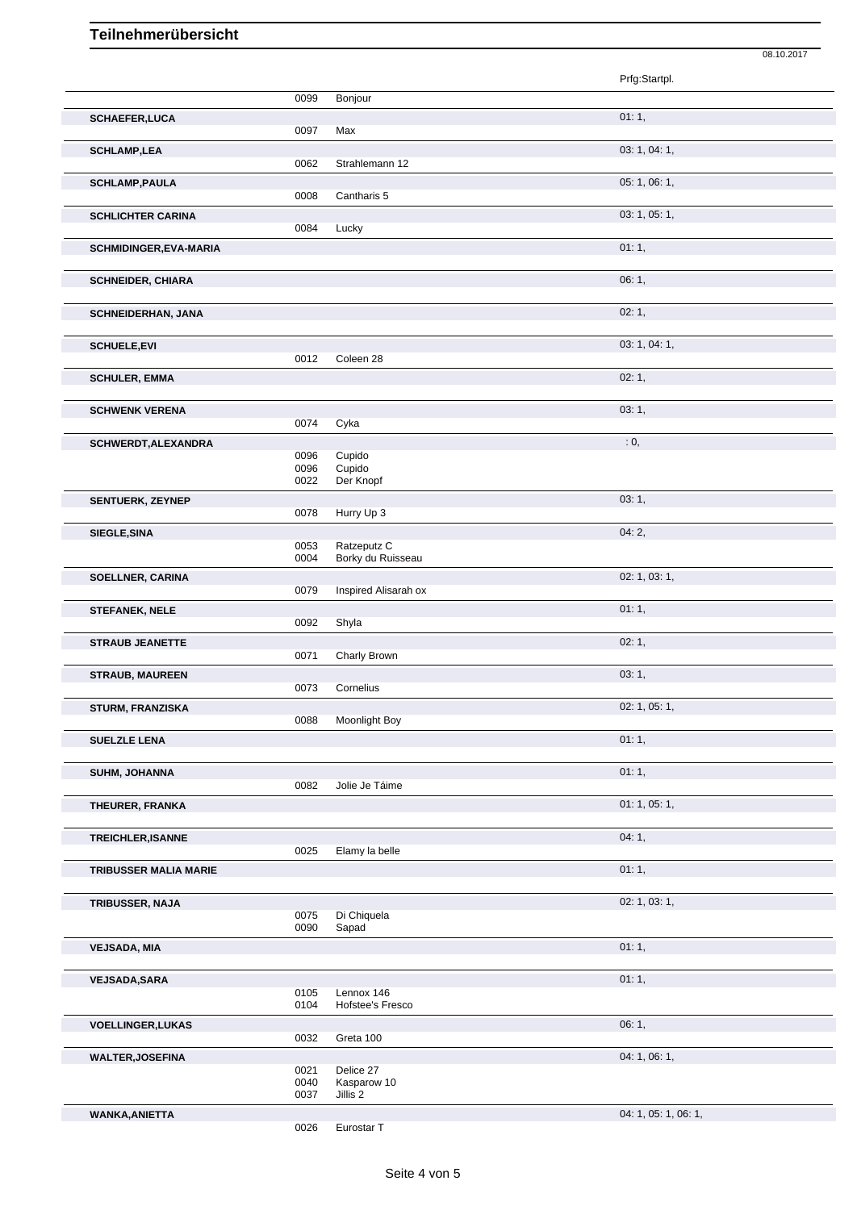|                               |              |                                  | 08.10.2017                                |
|-------------------------------|--------------|----------------------------------|-------------------------------------------|
|                               |              |                                  | Prfg:Startpl.                             |
|                               | 0099         | Bonjour                          |                                           |
| <b>SCHAEFER,LUCA</b>          |              |                                  | 01:1,                                     |
|                               | 0097         | Max                              |                                           |
| <b>SCHLAMP,LEA</b>            | 0062         | Strahlemann 12                   | 03: 1, 04: 1,                             |
| <b>SCHLAMP, PAULA</b>         |              |                                  | 05: 1, 06: 1,                             |
|                               | 0008         | Cantharis 5                      |                                           |
| <b>SCHLICHTER CARINA</b>      |              |                                  | 03: 1, 05: 1,                             |
|                               | 0084         | Lucky                            |                                           |
| <b>SCHMIDINGER, EVA-MARIA</b> |              |                                  | 01:1,                                     |
|                               |              |                                  | 06:1,                                     |
| <b>SCHNEIDER, CHIARA</b>      |              |                                  |                                           |
| <b>SCHNEIDERHAN, JANA</b>     |              |                                  | 02:1,                                     |
|                               |              |                                  |                                           |
| <b>SCHUELE, EVI</b>           |              |                                  | 03: 1, 04: 1,                             |
|                               | 0012         | Coleen 28                        |                                           |
| <b>SCHULER, EMMA</b>          |              |                                  | 02:1,                                     |
| <b>SCHWENK VERENA</b>         |              |                                  | 03: 1,                                    |
|                               | 0074         | Cyka                             |                                           |
| SCHWERDT, ALEXANDRA           |              |                                  | $\cdot$ 0,                                |
|                               | 0096         | Cupido                           |                                           |
|                               | 0096<br>0022 | Cupido<br>Der Knopf              |                                           |
| <b>SENTUERK, ZEYNEP</b>       |              |                                  | 03:1,                                     |
|                               | 0078         | Hurry Up 3                       |                                           |
| SIEGLE, SINA                  |              |                                  | 04:2,                                     |
|                               | 0053<br>0004 | Ratzeputz C<br>Borky du Ruisseau |                                           |
| <b>SOELLNER, CARINA</b>       |              |                                  | 02: 1, 03: 1,                             |
|                               | 0079         | Inspired Alisarah ox             |                                           |
| <b>STEFANEK, NELE</b>         |              |                                  | 01:1,                                     |
|                               | 0092         | Shyla                            |                                           |
| <b>STRAUB JEANETTE</b>        |              |                                  | 02:1,                                     |
|                               | 0071         | Charly Brown                     |                                           |
| <b>STRAUB, MAUREEN</b>        | 0073         | Cornelius                        | 03:1,                                     |
| <b>STURM, FRANZISKA</b>       |              |                                  | 02: 1, 05: 1,                             |
|                               | 0088         | Moonlight Boy                    |                                           |
| <b>SUELZLE LENA</b>           |              |                                  | 01:1,                                     |
|                               |              |                                  |                                           |
| SUHM, JOHANNA                 | 0082         | Jolie Je Táime                   | 01:1,                                     |
|                               |              |                                  | 01: 1, 05: 1,                             |
| THEURER, FRANKA               |              |                                  |                                           |
| TREICHLER, ISANNE             |              |                                  | 04:1,                                     |
|                               | 0025         | Elamy la belle                   |                                           |
| TRIBUSSER MALIA MARIE         |              |                                  | 01:1,                                     |
|                               |              |                                  |                                           |
| TRIBUSSER, NAJA               | 0075         | Di Chiquela                      | 02: 1, 03: 1,                             |
|                               | 0090         | Sapad                            |                                           |
| <b>VEJSADA, MIA</b>           |              |                                  | 01:1,                                     |
|                               |              |                                  |                                           |
| <b>VEJSADA, SARA</b>          |              |                                  | 01:1,                                     |
|                               | 0105<br>0104 | Lennox 146<br>Hofstee's Fresco   |                                           |
| <b>VOELLINGER, LUKAS</b>      |              |                                  | 06:1,                                     |
|                               | 0032         | Greta 100                        |                                           |
| <b>WALTER, JOSEFINA</b>       |              |                                  | 04: 1, 06: 1,                             |
|                               | 0021<br>0040 | Delice 27<br>Kasparow 10         |                                           |
|                               | 0037         | Jillis 2                         |                                           |
| MANIZA ANIETTA                |              |                                  | $0.4 \cdot 1$ $0.5 \cdot 1$ $0.6 \cdot 1$ |

WANKA, ANIETTA

0026 Eurostar T

04: 1, 05: 1, 06: 1,